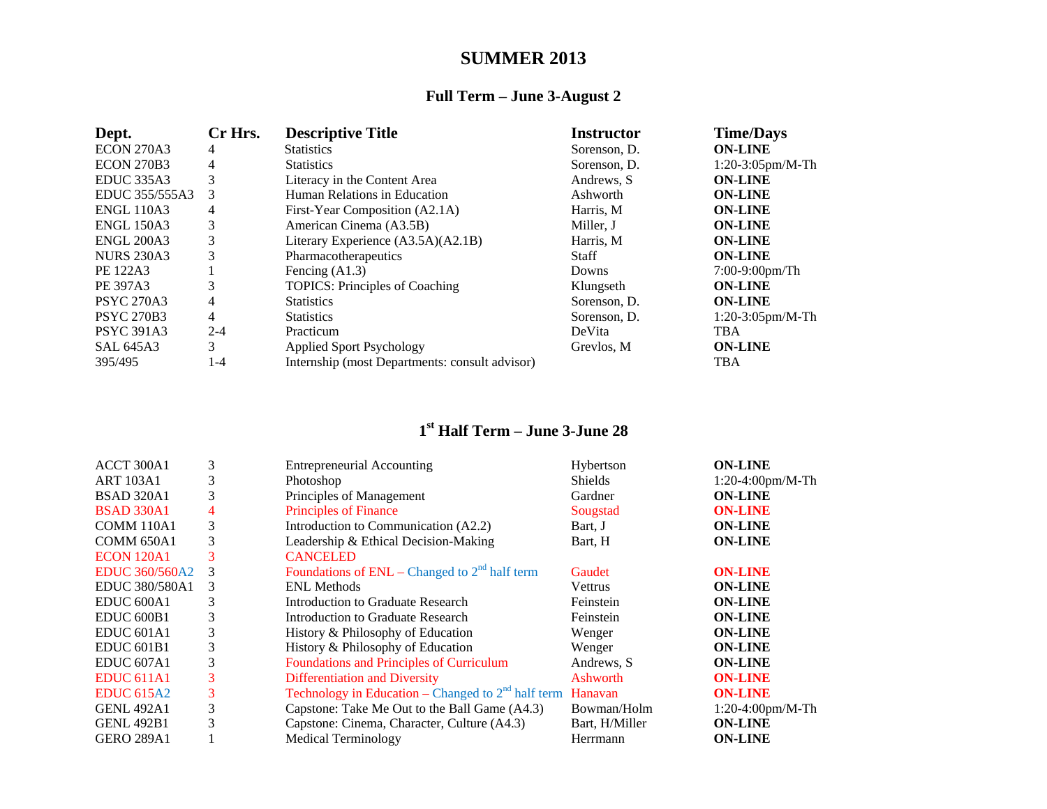## **SUMMER 2013**

## **Full Term – June 3-August 2**

| Dept.             | Cr Hrs. | <b>Descriptive Title</b>                       | <b>Instructor</b> | <b>Time/Days</b>    |
|-------------------|---------|------------------------------------------------|-------------------|---------------------|
| <b>ECON 270A3</b> | 4       | <b>Statistics</b>                              | Sorenson, D.      | <b>ON-LINE</b>      |
| <b>ECON 270B3</b> | 4       | <b>Statistics</b>                              | Sorenson, D.      | $1:20-3:05$ pm/M-Th |
| <b>EDUC 335A3</b> | 3       | Literacy in the Content Area                   | Andrews, S.       | <b>ON-LINE</b>      |
| EDUC 355/555A3    | 3       | Human Relations in Education                   | Ashworth          | <b>ON-LINE</b>      |
| <b>ENGL 110A3</b> | 4       | First-Year Composition (A2.1A)                 | Harris, M         | <b>ON-LINE</b>      |
| <b>ENGL 150A3</b> | 3       | American Cinema (A3.5B)                        | Miller. J         | <b>ON-LINE</b>      |
| <b>ENGL 200A3</b> | 3       | Literary Experience (A3.5A)(A2.1B)             | Harris, M         | <b>ON-LINE</b>      |
| <b>NURS 230A3</b> | 3       | Pharmacotherapeutics                           | <b>Staff</b>      | <b>ON-LINE</b>      |
| PE 122A3          |         | Fencing $(A1.3)$                               | Downs             | $7:00-9:00$ pm/Th   |
| PE 397A3          | 3       | <b>TOPICS: Principles of Coaching</b>          | Klungseth         | <b>ON-LINE</b>      |
| <b>PSYC 270A3</b> | 4       | <b>Statistics</b>                              | Sorenson, D.      | <b>ON-LINE</b>      |
| <b>PSYC 270B3</b> | 4       | <b>Statistics</b>                              | Sorenson, D.      | $1:20-3:05$ pm/M-Th |
| <b>PSYC 391A3</b> | $2 - 4$ | Practicum                                      | DeVita            | <b>TBA</b>          |
| <b>SAL 645A3</b>  | 3       | <b>Applied Sport Psychology</b>                | Grevlos, M        | <b>ON-LINE</b>      |
| 395/495           | 1-4     | Internship (most Departments: consult advisor) |                   | <b>TBA</b>          |

## **1st Half Term – June 3-June 28**

| ACCT 300A1            | 3 | <b>Entrepreneurial Accounting</b>                    | Hybertson      | <b>ON-LINE</b>      |
|-----------------------|---|------------------------------------------------------|----------------|---------------------|
| <b>ART 103A1</b>      | 3 | Photoshop                                            | <b>Shields</b> | 1:20-4:00pm/M-Th    |
| <b>BSAD 320A1</b>     | 3 | Principles of Management                             | Gardner        | <b>ON-LINE</b>      |
| <b>BSAD 330A1</b>     | 4 | <b>Principles of Finance</b>                         | Sougstad       | <b>ON-LINE</b>      |
| COMM 110A1            | 3 | Introduction to Communication (A2.2)                 | Bart, J        | <b>ON-LINE</b>      |
| <b>COMM 650A1</b>     | 3 | Leadership & Ethical Decision-Making                 | Bart, H        | <b>ON-LINE</b>      |
| <b>ECON 120A1</b>     | 3 | <b>CANCELED</b>                                      |                |                     |
| <b>EDUC 360/560A2</b> | 3 | Foundations of $ENL$ – Changed to $2nd$ half term    | Gaudet         | <b>ON-LINE</b>      |
| EDUC 380/580A1        | 3 | <b>ENL Methods</b>                                   | <b>Vettrus</b> | <b>ON-LINE</b>      |
| EDUC <sub>600A1</sub> | 3 | Introduction to Graduate Research                    | Feinstein      | <b>ON-LINE</b>      |
| EDUC <sub>600B1</sub> | 3 | Introduction to Graduate Research                    | Feinstein      | <b>ON-LINE</b>      |
| EDUC <sub>601A1</sub> | 3 | History & Philosophy of Education                    | Wenger         | <b>ON-LINE</b>      |
| EDUC <sub>601B1</sub> | 3 | History & Philosophy of Education                    | Wenger         | <b>ON-LINE</b>      |
| EDUC <sub>607A1</sub> | 3 | <b>Foundations and Principles of Curriculum</b>      | Andrews, S.    | <b>ON-LINE</b>      |
| EDUC <sub>611A1</sub> | 3 | <b>Differentiation and Diversity</b>                 | Ashworth       | <b>ON-LINE</b>      |
| <b>EDUC 615A2</b>     | 3 | Technology in Education – Changed to $2nd$ half term | Hanavan        | <b>ON-LINE</b>      |
| <b>GENL 492A1</b>     | 3 | Capstone: Take Me Out to the Ball Game (A4.3)        | Bowman/Holm    | $1:20-4:00$ pm/M-Th |
| <b>GENL 492B1</b>     | 3 | Capstone: Cinema, Character, Culture (A4.3)          | Bart, H/Miller | <b>ON-LINE</b>      |
| <b>GERO 289A1</b>     |   | <b>Medical Terminology</b>                           | Herrmann       | <b>ON-LINE</b>      |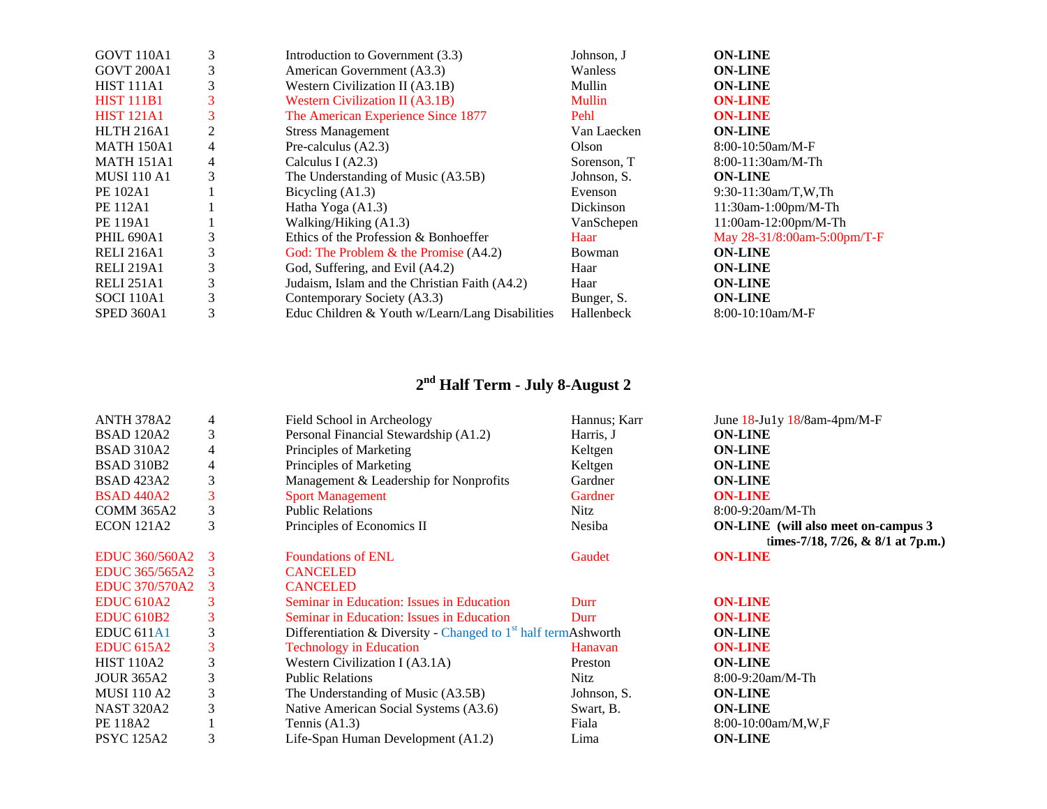| <b>GOVT 110A1</b>  | 3 | Introduction to Government (3.3)                | Johnson, J  | <b>ON-LINE</b>              |
|--------------------|---|-------------------------------------------------|-------------|-----------------------------|
| <b>GOVT 200A1</b>  | 3 | American Government (A3.3)                      | Wanless     | <b>ON-LINE</b>              |
| <b>HIST 111A1</b>  | 3 | Western Civilization II (A3.1B)                 | Mullin      | <b>ON-LINE</b>              |
| <b>HIST 111B1</b>  | 3 | <b>Western Civilization II (A3.1B)</b>          | Mullin      | <b>ON-LINE</b>              |
| <b>HIST 121A1</b>  | 3 | The American Experience Since 1877              | Pehl        | <b>ON-LINE</b>              |
| <b>HLTH 216A1</b>  | 2 | <b>Stress Management</b>                        | Van Laecken | <b>ON-LINE</b>              |
| <b>MATH 150A1</b>  | 4 | Pre-calculus (A2.3)                             | Olson       | $8:00-10:50am/M-F$          |
| <b>MATH 151A1</b>  | 4 | Calculus I $(A2.3)$                             | Sorenson, T | 8:00-11:30am/M-Th           |
| <b>MUSI 110 A1</b> | 3 | The Understanding of Music (A3.5B)              | Johnson, S. | <b>ON-LINE</b>              |
| PE 102A1           |   | Bicycling $(A1.3)$                              | Evenson     | 9:30-11:30am/T,W,Th         |
| <b>PE 112A1</b>    |   | Hatha Yoga $(A1.3)$                             | Dickinson   | 11:30am-1:00pm/M-Th         |
| <b>PE 119A1</b>    |   | Walking/Hiking (A1.3)                           | VanSchepen  | 11:00am-12:00pm/M-Th        |
| <b>PHIL 690A1</b>  | 3 | Ethics of the Profession & Bonhoeffer           | Haar        | May 28-31/8:00am-5:00pm/T-F |
| <b>RELI 216A1</b>  | 3 | God: The Problem $\&$ the Promise (A4.2)        | Bowman      | <b>ON-LINE</b>              |
| <b>RELI 219A1</b>  | 3 | God, Suffering, and Evil (A4.2)                 | Haar        | <b>ON-LINE</b>              |
| <b>RELI 251A1</b>  | 3 | Judaism, Islam and the Christian Faith (A4.2)   | Haar        | <b>ON-LINE</b>              |
| <b>SOCI 110A1</b>  | 3 | Contemporary Society (A3.3)                     | Bunger, S.  | <b>ON-LINE</b>              |
| SPED 360A1         | 3 | Educ Children & Youth w/Learn/Lang Disabilities | Hallenbeck  | $8:00-10:10am/M-F$          |

## **<sup>2</sup>nd Half Term - July 8-August 2**

| <b>ANTH 378A2</b>     | 4 | Field School in Archeology                                       | Hannus; Karr | June 18-Ju1y 18/8am-4pm/M-F                 |
|-----------------------|---|------------------------------------------------------------------|--------------|---------------------------------------------|
| <b>BSAD 120A2</b>     | 3 | Personal Financial Stewardship (A1.2)                            | Harris, J    | <b>ON-LINE</b>                              |
| <b>BSAD 310A2</b>     | 4 | Principles of Marketing                                          | Keltgen      | <b>ON-LINE</b>                              |
| <b>BSAD 310B2</b>     | 4 | Principles of Marketing                                          | Keltgen      | <b>ON-LINE</b>                              |
| <b>BSAD</b> 423A2     | 3 | Management & Leadership for Nonprofits                           | Gardner      | <b>ON-LINE</b>                              |
| <b>BSAD 440A2</b>     | 3 | <b>Sport Management</b>                                          | Gardner      | <b>ON-LINE</b>                              |
| <b>COMM 365A2</b>     | 3 | <b>Public Relations</b>                                          | <b>Nitz</b>  | $8:00-9:20am/M-Th$                          |
| <b>ECON 121A2</b>     | 3 | Principles of Economics II                                       | Nesiba       | <b>ON-LINE</b> (will also meet on-campus 3) |
|                       |   |                                                                  |              | times-7/18, 7/26, & 8/1 at 7p.m.)           |
| <b>EDUC 360/560A2</b> | 3 | <b>Foundations of ENL</b>                                        | Gaudet       | <b>ON-LINE</b>                              |
| EDUC 365/565A2        |   | <b>CANCELED</b>                                                  |              |                                             |
| <b>EDUC 370/570A2</b> | 3 | <b>CANCELED</b>                                                  |              |                                             |
| <b>EDUC 610A2</b>     | 3 | Seminar in Education: Issues in Education                        | Durr         | <b>ON-LINE</b>                              |
| <b>EDUC 610B2</b>     | 3 | Seminar in Education: Issues in Education                        | Durr         | <b>ON-LINE</b>                              |
| EDUC <sub>611A1</sub> | 3 | Differentiation & Diversity - Changed to $1st$ half termAshworth |              | <b>ON-LINE</b>                              |
| <b>EDUC 615A2</b>     | 3 | <b>Technology in Education</b>                                   | Hanavan      | <b>ON-LINE</b>                              |
| <b>HIST 110A2</b>     | 3 | Western Civilization I (A3.1A)                                   | Preston      | <b>ON-LINE</b>                              |
| <b>JOUR 365A2</b>     | 3 | <b>Public Relations</b>                                          | <b>Nitz</b>  | $8:00-9:20am/M-Th$                          |
| <b>MUSI</b> 110 A2    | 3 | The Understanding of Music (A3.5B)                               | Johnson, S.  | <b>ON-LINE</b>                              |
| <b>NAST 320A2</b>     | 3 | Native American Social Systems (A3.6)                            | Swart, B.    | <b>ON-LINE</b>                              |
| PE 118A2              |   | Tennis $(A1.3)$                                                  | Fiala        | $8:00-10:00am/M,W,F$                        |
| <b>PSYC</b> 125A2     | 3 | Life-Span Human Development (A1.2)                               | Lima         | <b>ON-LINE</b>                              |